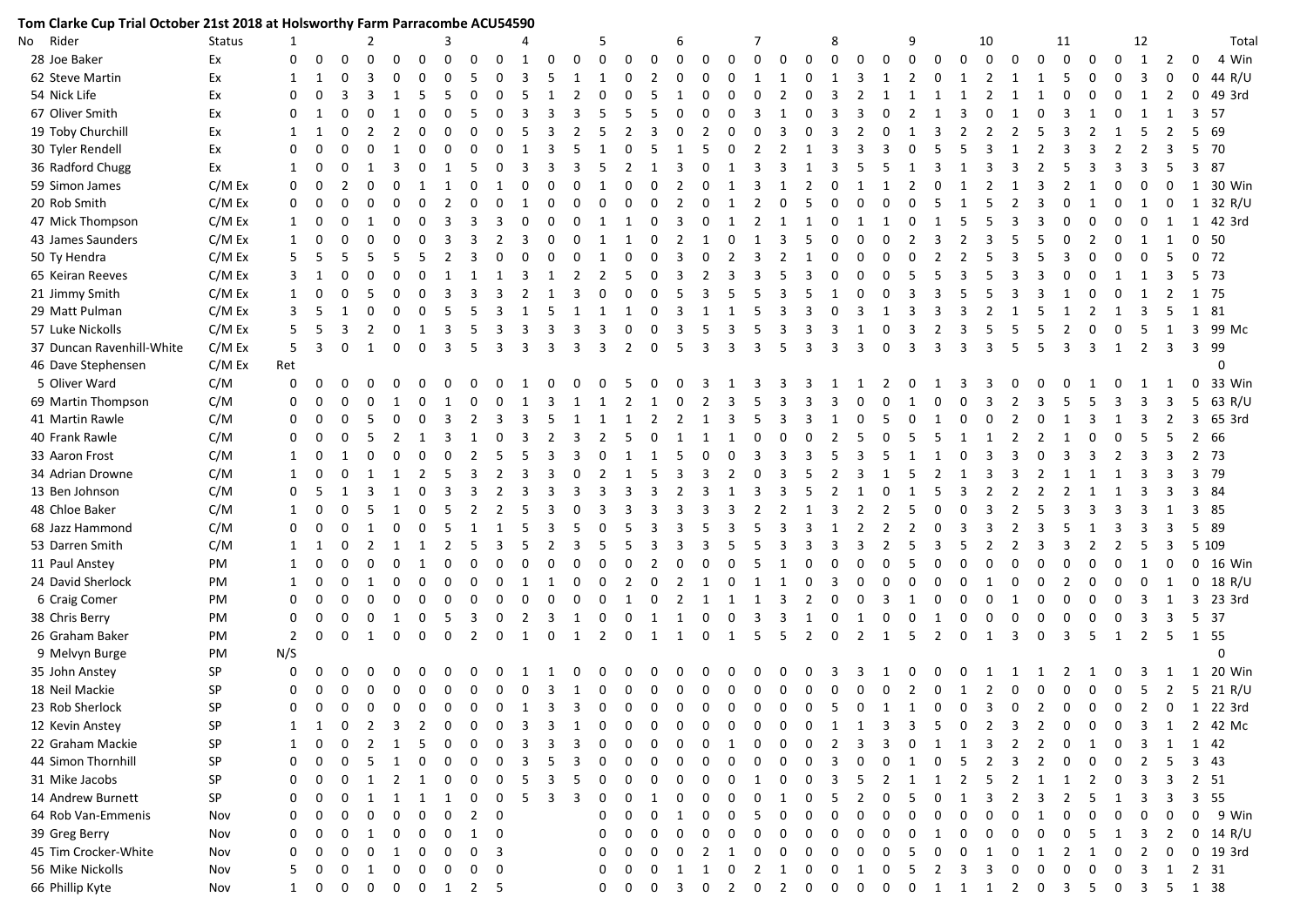| Tom Clarke Cup Trial October 21st 2018 at Holsworthy Farm Parracombe ACU54590<br>$\mathbf{1}$<br>$\overline{2}$<br>4<br>7 |          |                |                |                         |               |                |                             |               |               |             |                |          |              |          |                |              |                         |                |                |               |                   |                |            |              |              |                |                |                         |                |               |               |          |                |              |                                      |                |                |                                                                            |
|---------------------------------------------------------------------------------------------------------------------------|----------|----------------|----------------|-------------------------|---------------|----------------|-----------------------------|---------------|---------------|-------------|----------------|----------|--------------|----------|----------------|--------------|-------------------------|----------------|----------------|---------------|-------------------|----------------|------------|--------------|--------------|----------------|----------------|-------------------------|----------------|---------------|---------------|----------|----------------|--------------|--------------------------------------|----------------|----------------|----------------------------------------------------------------------------|
| No Rider                                                                                                                  | Status   |                |                |                         |               |                |                             | 3             |               |             |                |          |              | 5        |                |              | 6                       |                |                |               |                   |                | 8          |              |              | 9              |                |                         | 10             |               |               | 11       |                |              | 12                                   |                |                | Total                                                                      |
| 28 Joe Baker                                                                                                              | Ex       | $\Omega$       | $\Omega$       | $\mathbf{0}$            | $\Omega$      | $\Omega$       | $\Omega$                    | $\Omega$      | $\Omega$      | $\Omega$    | 1              | $\Omega$ | $\Omega$     | $\Omega$ | $\mathbf 0$    | $\mathbf 0$  | $\mathbf 0$             | $\Omega$       | $\Omega$       | $\Omega$      | $\Omega$          | $\Omega$       | $\Omega$   | $\Omega$     | $\mathbf{0}$ | $\mathbf 0$    | $\mathbf 0$    | $\mathbf 0$             | $\overline{0}$ | $\Omega$      | $\Omega$      | $\Omega$ | $\Omega$       | $\Omega$     | 1                                    | $\overline{2}$ | $\Omega$       | 4 Win                                                                      |
| 62 Steve Martin                                                                                                           | Ex       | 1              |                | $\Omega$                | 3             | 0              | $\Omega$                    |               |               |             | 3              |          |              |          | 0              | 2            | $\Omega$                | $\Omega$       | $\Omega$       | 1             |                   | $\Omega$       | -1         | 3            | 1            | $\overline{2}$ | 0              | 1                       | 2              |               | $\mathbf{1}$  | .5       | $\Omega$       | $\Omega$     | -3                                   | $\mathbf{0}$   | $\mathbf 0$    | 44 R/U                                                                     |
| 54 Nick Life                                                                                                              | Ex       | $\Omega$       |                |                         |               |                |                             |               |               |             |                |          |              |          | $\Omega$       | .5           | $\mathbf{1}$            | $\Omega$       | O              | $\Omega$      |                   |                |            |              |              |                | -1             | $\mathbf{1}$            |                |               |               |          | 0              | <sup>0</sup> | 1                                    | 2              | $\mathbf{0}$   | 49 3rd                                                                     |
| 67 Oliver Smith                                                                                                           | Ex       | 0              |                |                         | O             |                | $\Omega$                    |               |               |             |                |          |              |          | .5             | 5            | $\Omega$                | $\Omega$       |                | 3             |                   |                |            |              |              |                |                |                         |                |               |               |          |                |              |                                      |                | 3              | 57                                                                         |
| 19 Toby Churchill                                                                                                         | Ex       | $\mathbf 1$    |                | $\Omega$                | 2             | 2              | $\Omega$                    |               |               |             |                |          |              |          | 2              |              | $\Omega$                | $\mathcal{P}$  |                |               |                   |                |            |              |              |                | 3              | $\mathcal{P}$           |                |               |               |          |                |              |                                      |                |                | 5 69                                                                       |
| 30 Tyler Rendell                                                                                                          | Ex       | $\Omega$       |                |                         |               |                | 0                           |               |               |             |                |          |              |          | $\Omega$       |              |                         |                | O              | 2             |                   |                |            |              |              | O              |                |                         |                |               |               |          |                |              |                                      |                |                | 5 70                                                                       |
| 36 Radford Chugg                                                                                                          | Ex       | $\mathbf 1$    |                | $\Omega$                |               |                | $\Omega$                    |               |               |             |                |          |              |          |                |              |                         |                |                | з             |                   |                |            |              |              |                |                |                         |                |               |               |          |                |              |                                      | 5              |                | 3 87                                                                       |
| 59 Simon James                                                                                                            | C/M Ex   | $\Omega$       |                |                         |               | 0              |                             |               |               |             |                |          |              |          |                |              | $\mathcal{P}$           |                |                | 3             |                   |                |            |              |              |                |                |                         |                |               |               |          |                |              |                                      |                | 1              | 30 Win                                                                     |
| 20 Rob Smith                                                                                                              | C/M Ex   | $\Omega$       |                |                         |               | 0              | $\Omega$                    | $\mathcal{P}$ |               |             |                |          |              |          | $\Omega$       |              | 2                       | $\Omega$       | -1             | 2             | $\Omega$          | .5             |            |              |              | O              |                |                         |                | $\mathcal{P}$ | з             |          |                |              |                                      | 0              |                | $1 \t32 R/U$                                                               |
| 47 Mick Thompson                                                                                                          | C/M Ex   |                |                |                         |               | 0              | $\Omega$                    | ર             |               |             |                |          |              |          |                |              | 3                       | <sup>0</sup>   |                | $\mathcal{L}$ |                   | -1             |            |              |              |                |                | 5                       |                |               |               |          |                |              |                                      |                |                | 1 42 3rd                                                                   |
| 43 James Saunders                                                                                                         | C/M Ex   | 1              |                |                         |               |                | $\Omega$                    |               |               |             |                |          |              |          |                | n            | $\mathcal{P}$           |                |                |               | 3                 |                |            |              |              | $\mathcal{P}$  | 3              | $\mathcal{P}$           |                |               |               |          |                |              |                                      | -1             |                | 0 <sub>50</sub>                                                            |
| 50 Ty Hendra                                                                                                              | C/M Ex   |                |                |                         |               | .5             | .5                          | $\mathcal{P}$ |               |             |                |          |              |          | $\Omega$       | 0            | 3                       | $\Omega$       | $\mathcal{P}$  | $\mathbf{3}$  |                   |                |            |              | $\Omega$     | O              | $\mathcal{P}$  | 2                       |                |               |               |          |                |              |                                      |                |                | 0, 72                                                                      |
| 65 Keiran Reeves                                                                                                          | $C/M$ Ex |                |                | $\Omega$                |               | 0              |                             |               |               |             |                |          |              |          |                | 0            | 3                       | $\mathcal{P}$  | 3              |               |                   |                |            |              | $\Omega$     |                |                |                         |                |               |               |          |                |              |                                      |                |                | 5 73                                                                       |
| 21 Jimmy Smith                                                                                                            | C/M Ex   | 1              |                | $\Omega$                | 5             | 0              | $\Omega$                    | 3             |               |             |                |          |              |          | $\Omega$       | $\Omega$     | 5                       | 3              |                | 5             | 3                 |                |            |              | $\Omega$     | 3              |                |                         |                |               |               |          |                |              |                                      | $\overline{2}$ |                | 1 75                                                                       |
| 29 Matt Pulman                                                                                                            | C/M Ex   | 3              |                |                         | U             | 0              | 0                           |               |               |             |                |          |              |          | 1              | 0            | 3                       |                |                | 5             | 3                 |                |            |              |              | 3              |                |                         |                |               |               |          |                |              | 3                                    | 5              |                | 1 81                                                                       |
| 57 Luke Nickolls                                                                                                          | C/M Ex   | 5              |                | 3                       | $\mathcal{P}$ | $\Omega$       | $\mathbf{1}$                | 3             |               | ર           | 3              | 3        | ર            | ર        | $\Omega$       | $\Omega$     | 3                       | .5             | 3              | .5            | 3                 | 3              | 3          | 1            | $\Omega$     | 3              | $\mathcal{P}$  | 3                       |                |               |               |          | $\Omega$       |              |                                      | $\mathbf{1}$   | $\overline{3}$ | 99 Mc                                                                      |
| 37 Duncan Ravenhill-White                                                                                                 | C/M Ex   | 5              | $\overline{3}$ | $\Omega$                | 1             | $\Omega$       | $\Omega$                    | 3             | 5             | 3           | 3              | 3        | 3            | 3        | 2              | $\Omega$     | 5                       | $\overline{3}$ | 3              | 3             | 5                 | 3              | 3          | 3            | $\Omega$     | $\overline{3}$ | $\overline{3}$ | 3                       | 3              | 5             | -5            | 3        | $\overline{3}$ | 1            | $\overline{2}$                       | 3              |                | 3 99                                                                       |
| 46 Dave Stephensen                                                                                                        | C/M Ex   | Ret            |                |                         |               |                |                             |               |               |             |                |          |              |          |                |              |                         |                |                |               |                   |                |            |              |              |                |                |                         |                |               |               |          |                |              |                                      |                |                | 0                                                                          |
| 5 Oliver Ward                                                                                                             | C/M      | $\mathbf 0$    | $\Omega$       | $\Omega$                | O             | 0              | n                           |               |               |             |                |          |              |          |                |              | $\Omega$                |                |                |               |                   |                |            |              |              |                |                |                         |                |               |               |          |                |              |                                      |                | $\Omega$       | 33 Win                                                                     |
| 69 Martin Thompson                                                                                                        | C/M      | 0              |                | $\Omega$                | 0             | -1             | $\Omega$                    |               |               |             |                |          |              |          | 2              |              | $\Omega$                | $\mathcal{P}$  |                |               |                   |                |            |              |              |                |                | O                       |                |               |               |          |                |              |                                      |                | 5              | 63 R/U                                                                     |
| 41 Martin Rawle                                                                                                           | C/M      | $\Omega$       |                | $\Omega$                |               |                | $\Omega$                    | 3             |               |             |                |          |              |          |                |              | 2                       |                | 3              |               |                   |                |            |              |              | O              |                | $\Omega$                |                |               |               |          |                |              |                                      |                | 3              | 65 3rd                                                                     |
| 40 Frank Rawle                                                                                                            | C/M      | $\Omega$       |                |                         |               |                |                             |               |               |             |                |          |              |          |                |              |                         |                |                |               |                   |                |            |              |              |                |                |                         |                |               |               |          |                |              |                                      |                |                | 2 66                                                                       |
| 33 Aaron Frost                                                                                                            | C/M      | 1              |                |                         |               |                |                             |               |               |             |                |          |              |          |                |              |                         |                |                |               |                   |                |            |              |              |                |                |                         |                |               |               |          |                |              |                                      |                |                | 2 73                                                                       |
| 34 Adrian Drowne                                                                                                          | C/M      |                |                |                         |               |                | 2                           |               |               |             |                |          |              |          |                |              |                         |                |                |               | ર                 |                |            |              |              |                |                |                         |                |               |               |          |                |              |                                      |                |                | 3 79                                                                       |
| 13 Ben Johnson                                                                                                            | C/M      | $\Omega$       |                |                         |               |                |                             |               |               |             |                |          |              |          |                |              |                         |                |                |               |                   |                |            |              |              |                |                |                         |                |               |               |          |                |              |                                      |                |                | 3 84                                                                       |
| 48 Chloe Baker                                                                                                            | C/M      | 1              |                |                         |               |                | $\Omega$                    |               |               |             |                |          |              |          |                |              |                         |                |                |               |                   |                |            |              |              |                |                |                         |                |               |               |          |                |              |                                      |                |                | 3 85                                                                       |
| 68 Jazz Hammond                                                                                                           | C/M      | $\Omega$       |                |                         |               |                |                             |               |               |             |                |          |              |          |                |              |                         |                |                |               |                   |                |            |              |              | $\mathfrak z$  | 0              |                         |                |               |               |          |                |              |                                      | 3              |                | 5 89                                                                       |
| 53 Darren Smith                                                                                                           | C/M      |                |                |                         |               |                |                             |               |               |             |                |          |              |          |                |              | 3                       |                |                |               |                   |                |            |              |              | 5              | з              |                         |                |               |               |          |                |              |                                      | 3              |                | 5 109                                                                      |
| 11 Paul Anstey                                                                                                            | PM       | 1              |                |                         | O             |                |                             |               |               | $\Omega$    |                |          |              | O        | $\Omega$       | 2            | $\Omega$                | $\Omega$       |                |               |                   |                |            |              | $\Omega$     | 5              | 0              | $\Omega$                | $\Omega$       | $\Omega$      |               |          |                |              |                                      | 0              | $\mathbf{0}$   | 16 Win                                                                     |
| 24 David Sherlock                                                                                                         | PM       | 1              |                | $\Omega$                |               | 0              | $\Omega$                    | $\Omega$      | $\Omega$      | $\Omega$    |                |          |              | $\Omega$ | 2              | 0            | $\mathcal{P}$           |                | O              |               |                   | 0              |            | $\Omega$     | $\Omega$     | $\Omega$       | 0              | $\Omega$                |                | $\Omega$      | $\Omega$      |          | 0              |              |                                      | 1              | 0              | 18 R/U                                                                     |
| 6 Craig Comer                                                                                                             | PM       | 0              |                | $\Omega$                | <sup>0</sup>  | 0              | $\Omega$                    | $\Omega$      | $\Omega$      | $\Omega$    |                |          | $\Omega$     | $\Omega$ | 1              | 0            | $\mathcal{P}$           |                |                | -1            | 3                 | $\mathcal{P}$  | $\Omega$   | $\Omega$     | 3            |                | 0              | 0                       | $\Omega$       |               | $\Omega$      |          | $\Omega$       |              |                                      |                | 3              | 23 3rd                                                                     |
| 38 Chris Berry                                                                                                            | PM       | $\mathbf 0$    |                | $\Omega$                | $\Omega$      | -1             | $\Omega$                    |               | 3             | $\Omega$    | 2              | ર        | $\mathbf{1}$ | $\Omega$ | $\Omega$       | $\mathbf{1}$ | $\overline{1}$          | $\Omega$       | $\Omega$       | $\mathbf{3}$  | 3                 | $\overline{1}$ | $\Omega$   | $\mathbf{1}$ | $\Omega$     | $\Omega$       | -1             | $\Omega$                | $\Omega$       | $\Omega$      | $\Omega$      |          | $\Omega$       |              | ર                                    | 3              |                | 5 37                                                                       |
| 26 Graham Baker                                                                                                           | PM       | $\overline{2}$ | $\Omega$       | $\Omega$                | 1             | $\Omega$       | $\Omega$                    | $\Omega$      | $\mathcal{P}$ | $\Omega$    | $\overline{1}$ | $\Omega$ | $\mathbf{1}$ | 2        | $\Omega$       | 1            | 1                       | $\Omega$       | 1              | .5            | .5                | 2              | $\Omega$   | 2            | $\mathbf{1}$ | -5             | 2              | $\Omega$                | $\overline{1}$ | 3             | $\Omega$      | 3        | - 5            | 1            | 2                                    | 5              |                | 1 55                                                                       |
| 9 Melvyn Burge                                                                                                            | PM       | N/S            |                |                         |               |                |                             |               |               |             |                |          |              |          |                |              |                         |                |                |               |                   |                |            |              |              |                |                |                         |                |               |               |          |                |              |                                      |                |                | $\mathbf 0$                                                                |
| 35 John Anstey                                                                                                            | SP       | $\mathbf 0$    |                | 0                       | O             | 0              | <sup>0</sup>                |               |               |             |                |          |              |          | $\Omega$       | n            | 0                       | <sup>0</sup>   |                |               |                   |                |            |              |              | O              |                | 0                       |                |               |               |          |                |              |                                      |                | 1              | 20 Win                                                                     |
| 18 Neil Mackie                                                                                                            | SP       | 0              |                | 0                       | 0             | $\mathbf 0$    | $\mathbf 0$                 | 0             | 0             | $\mathbf 0$ | $\mathbf 0$    | 3        | 1            | 0        | $\mathbf 0$    | $\mathbf 0$  | $\mathbf 0$             | $\mathbf 0$    | 0              | $\mathbf 0$   | 0                 | $\mathbf 0$    | 0          | $\mathbf 0$  | $\mathbf 0$  | $\overline{2}$ | $\mathbf 0$    | $\overline{\mathbf{1}}$ | $\overline{2}$ | 0             | 0             | 0        | $\mathbf 0$    | 0            | 5                                    | $\overline{2}$ | 5 <sup>5</sup> | 21 R/U                                                                     |
| 23 Rob Sherlock                                                                                                           | SΡ       | $\Omega$       |                |                         |               |                |                             |               |               |             |                |          |              |          |                |              |                         |                |                |               |                   |                |            |              |              |                |                |                         |                |               |               |          |                |              |                                      |                |                | 0 0 0 0 0 0 0 1 3 3 0 0 0 0 0 0 0 0 0 5 0 1 1 0 0 3 0 2 0 0 0 2 0 1 22 3rd |
| 12 Kevin Anstey                                                                                                           | SP       | 1              |                | $\Omega$                | 2             | 3              |                             |               |               |             |                |          |              |          |                |              |                         |                |                |               |                   |                |            |              |              |                |                | 0                       |                |               |               |          |                |              |                                      | 1              |                | 2 42 Mc                                                                    |
| 22 Graham Mackie                                                                                                          | SP       |                |                |                         |               |                |                             |               |               |             |                |          |              |          |                |              |                         |                |                |               |                   |                |            |              |              |                |                |                         |                |               |               |          |                |              |                                      |                |                | 1 42                                                                       |
| 44 Simon Thornhill                                                                                                        | SP       | <sup>0</sup>   |                |                         |               |                |                             |               |               |             |                |          |              |          |                |              |                         |                |                |               |                   |                |            |              |              |                |                |                         |                |               |               |          |                |              |                                      |                |                | 3 43                                                                       |
| 31 Mike Jacobs                                                                                                            | SP       | 0              |                |                         |               |                |                             |               |               |             |                |          |              |          |                |              |                         |                |                |               |                   |                |            |              |              |                |                |                         |                |               |               |          |                |              |                                      |                |                | 2 51                                                                       |
| 14 Andrew Burnett                                                                                                         | SP       | 0              |                |                         |               |                |                             |               |               |             |                |          |              |          |                |              |                         |                |                |               |                   |                |            |              |              |                |                |                         |                |               |               |          |                |              |                                      |                |                | 3 55                                                                       |
| 64 Rob Van-Emmenis                                                                                                        | Nov      | 0              |                |                         |               |                |                             |               |               |             |                |          |              |          |                |              |                         |                |                |               |                   |                |            |              |              |                |                |                         |                |               |               |          |                |              |                                      | 0              | 0              | 9 Win                                                                      |
| 39 Greg Berry                                                                                                             | Nov      | 0              |                |                         |               | 0              | 0                           | $\Omega$      |               | $\Omega$    |                |          |              |          |                |              | $\Omega$                |                |                |               |                   |                |            |              | <sup>0</sup> | $\Omega$       |                | U                       |                |               |               |          |                |              | 3                                    | $\overline{2}$ |                | $0$ 14 R/U                                                                 |
| 45 Tim Crocker-White                                                                                                      | Nov      | 0              |                |                         |               |                | 0                           |               | <sup>0</sup>  | 3           |                |          |              | 0        |                |              | <sup>0</sup>            |                |                |               |                   |                |            |              |              |                |                |                         |                |               |               |          |                |              |                                      | $\Omega$       |                | $0$ 19 3rd                                                                 |
| 56 Mike Nickolls                                                                                                          | Nov      | 5              |                | 0                       | 1             | 0              | 0                           | 0             | 0             | 0           |                |          |              | 0        | 0              | 0            | -1                      |                | 0              | 2             |                   | 0              | $\Omega$   | 1            | 0            | -5             | 2              | 3                       |                | $\Omega$      | O             |          | 0              | 0            | -3                                   | 1              |                | 2 31                                                                       |
| 66 Phillip Kyte                                                                                                           | Nov      |                | $1 \quad 0$    | $\overline{\mathbf{0}}$ | $\mathbf 0$   | $\overline{0}$ | $0 \quad 1 \quad 2 \quad 5$ |               |               |             |                |          |              | 0        | $\overline{0}$ | $\mathbf 0$  | $\overline{\mathbf{3}}$ | 0              | $\overline{2}$ |               | $0\quad 2\quad 0$ |                | $0\quad 0$ |              | $0\qquad 0$  |                |                |                         |                |               | 1 1 1 2 0 3 5 |          |                |              | $0 \quad 3 \quad 5 \quad 1 \quad 38$ |                |                |                                                                            |